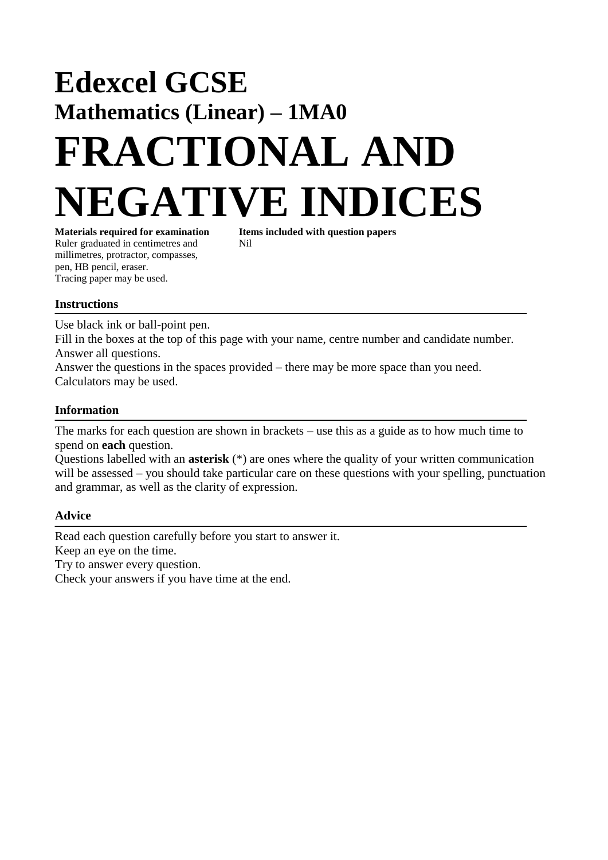## **Edexcel GCSE Mathematics (Linear) – 1MA0 FRACTIONAL AND NEGATIVE INDICES**

Ruler graduated in centimetres and Nil millimetres, protractor, compasses, pen, HB pencil, eraser. Tracing paper may be used.

**Materials required for examination Items included with question papers**

## **Instructions**

Use black ink or ball-point pen.

Fill in the boxes at the top of this page with your name, centre number and candidate number. Answer all questions.

Answer the questions in the spaces provided – there may be more space than you need. Calculators may be used.

## **Information**

The marks for each question are shown in brackets – use this as a guide as to how much time to spend on **each** question.

Questions labelled with an **asterisk** (\*) are ones where the quality of your written communication will be assessed – you should take particular care on these questions with your spelling, punctuation and grammar, as well as the clarity of expression.

## **Advice**

Read each question carefully before you start to answer it. Keep an eye on the time. Try to answer every question. Check your answers if you have time at the end.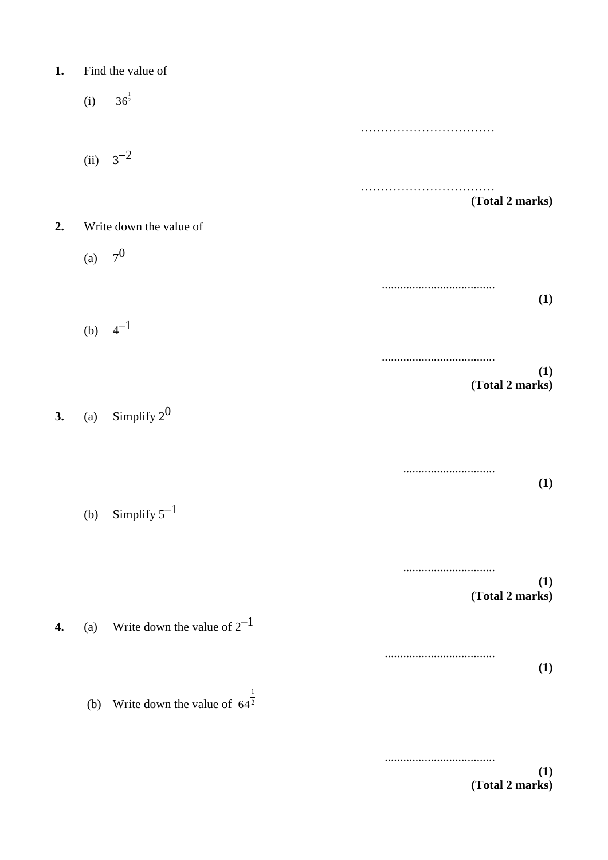| 1. |  | Find the value of |  |
|----|--|-------------------|--|
|----|--|-------------------|--|

(i) ……………………………  $(ii)$  $3^{-2}$ …………………………… **(Total 2 marks) 2.** Write down the value of  $(a)$  $7<sup>0</sup>$ ..................................... **(1)** (b)  $4^{-1}$ ..................................... **(1) (Total 2 marks) 3.** (a) Simplify  $2^0$ .............................. **(1)** (b) Simplify  $5^{-1}$ .............................. **(1) (Total 2 marks) 4.** (a) Write down the value of  $2^{-1}$ .................................... **(1)** (b) Write down the value of  $64<sup>2</sup>$  $36^{\frac{1}{2}}$ 1 64

> .................................... **(1) (Total 2 marks)**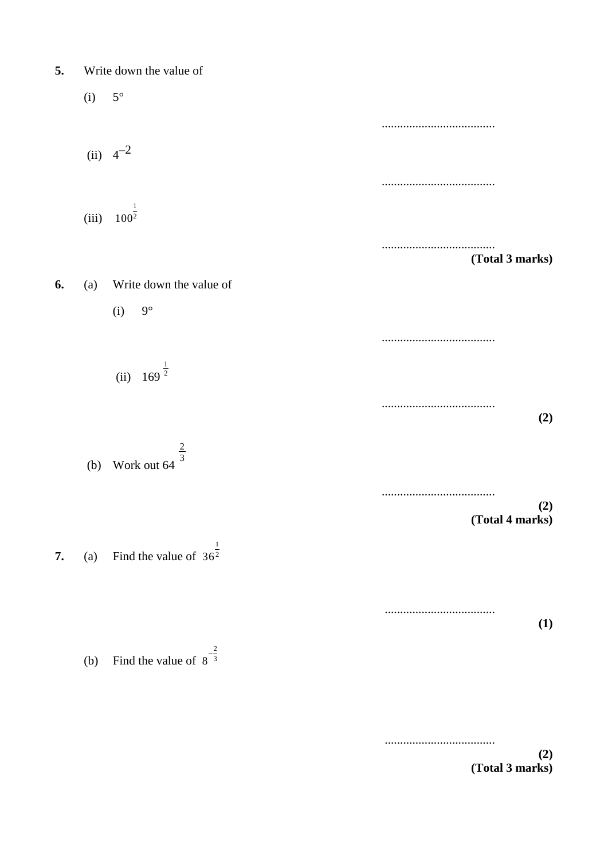| 5. |       | Write down the value of                  |                     |  |
|----|-------|------------------------------------------|---------------------|--|
|    | (i)   | $5^{\circ}$                              |                     |  |
|    |       |                                          |                     |  |
|    |       | (ii) $4^{-2}$                            |                     |  |
|    |       |                                          |                     |  |
|    | (iii) | $\mathbf{1}$<br>$100^{\overline{2}}$     |                     |  |
|    |       |                                          | <br>(Total 3 marks) |  |
| 6. | (a)   | Write down the value of                  |                     |  |
|    |       | $9^{\circ}$<br>(i)                       |                     |  |
|    |       |                                          |                     |  |
|    |       | (ii) $169^{\frac{1}{2}}$                 |                     |  |
|    |       |                                          | (2)                 |  |
|    |       |                                          |                     |  |
|    |       | (b) Work out 64 $\frac{2}{3}$            |                     |  |
|    |       |                                          | (2)                 |  |
|    |       |                                          | (Total 4 marks)     |  |
| 7. |       | (a) Find the value of $36^{\frac{1}{2}}$ |                     |  |
|    |       |                                          |                     |  |
|    |       |                                          |                     |  |
|    |       |                                          | <b>(1)</b>          |  |
|    | (b)   | Find the value of $8^{-\frac{2}{3}}$     |                     |  |
|    |       |                                          |                     |  |
|    |       |                                          |                     |  |

**(2) (Total 3 marks)**

....................................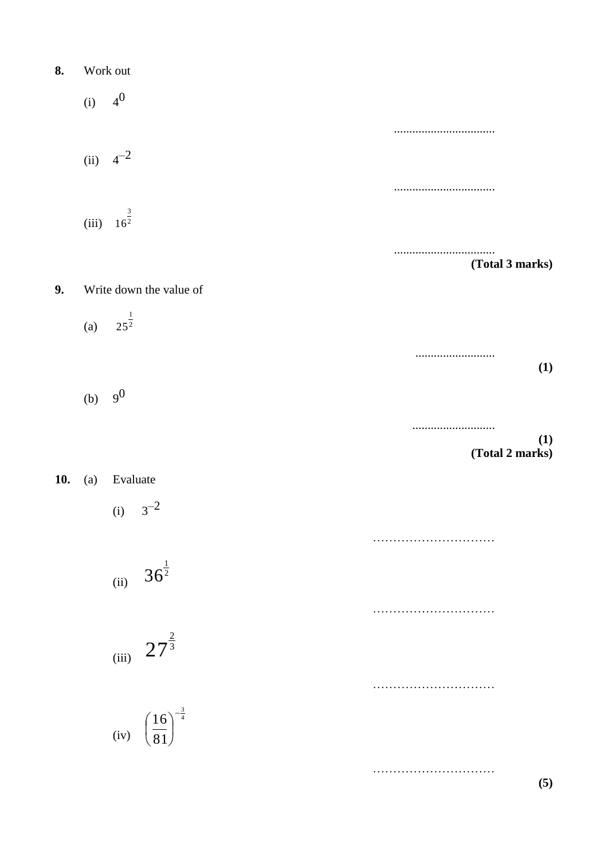8. Work out  
\n(i) 
$$
4^0
$$
  
\n(ii)  $4^{-2}$   
\n(iii)  $16^{\frac{3}{2}}$   
\n  
\n9. Write down the value of  
\n(a)  $25^{\frac{1}{2}}$   
\n(b)  $9^0$ 

**10.** (a) Evaluate

 $(i) 3^{-2}$ 

(ii) 
$$
36^{\frac{1}{2}}
$$

$$
_{\rm (iii)}\ 27^{\frac{2}{3}}
$$

(iv) 
$$
\left(\frac{16}{81}\right)^{-\frac{3}{4}}
$$

**(5)**

…………………………

…………………………

…………………………

…………………………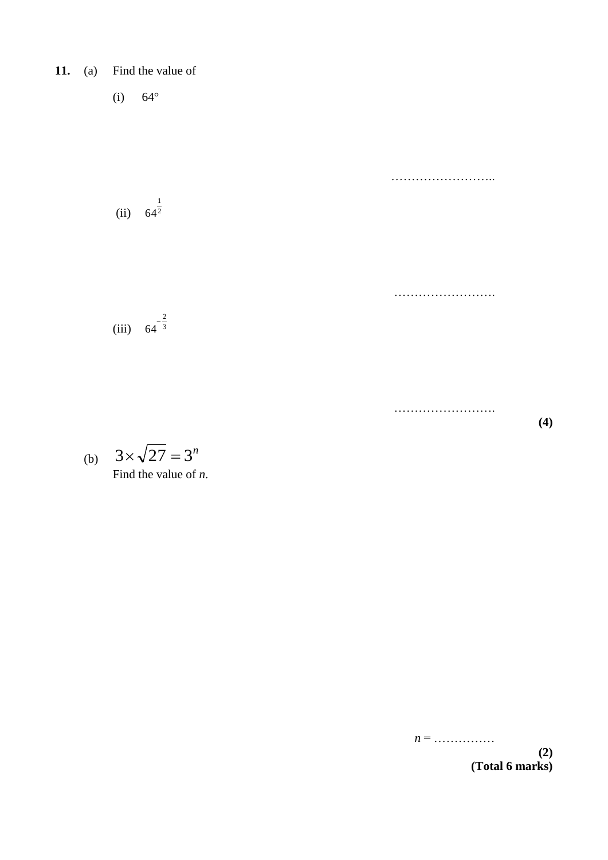**11.** (a) Find the value of

(i)  $64^{\circ}$ 

 $(ii) 64<sup>2</sup>$ 1 64

 $(iii)$  64 <sup>3</sup>  $64^{-}$ 

2

(b) Find the value of *n*.  $3 \times \sqrt{27} = 3^n$ 

*n* = ……………

……………………..

…………………….

…………………….

**(4)**

**(2) (Total 6 marks)**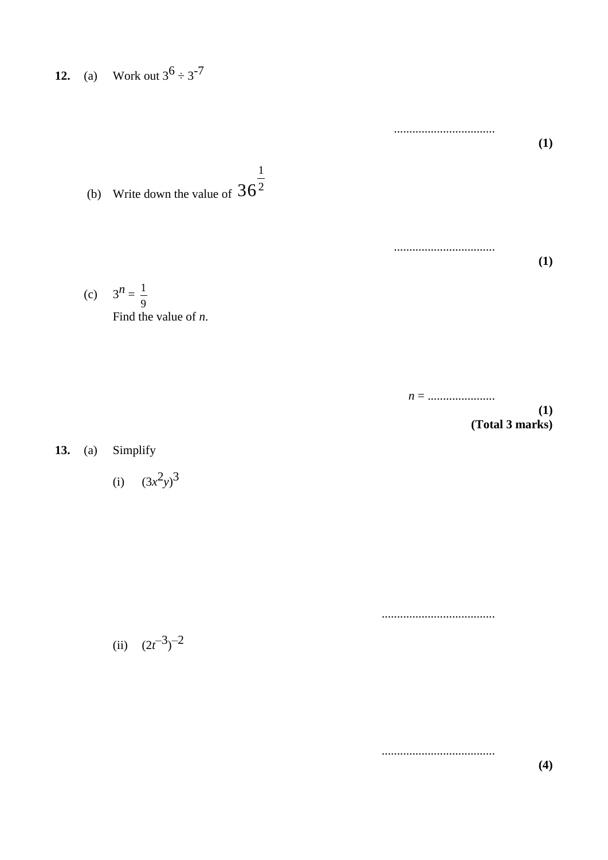**12.** (a) Work out  $3^6 \div 3^{-7}$ 

(b) Write down the value of  $36<sup>2</sup>$ 1 36

(c) 
$$
3^n = \frac{1}{9}
$$
  
Find the value of *n*.



.................................

.................................

**(1)**

**(1)**

**13.** (a) Simplify

(i)  $(3x^2y)^3$ 

.....................................

.....................................

(ii)  $(2t^{-3})^{-2}$ 

**(4)**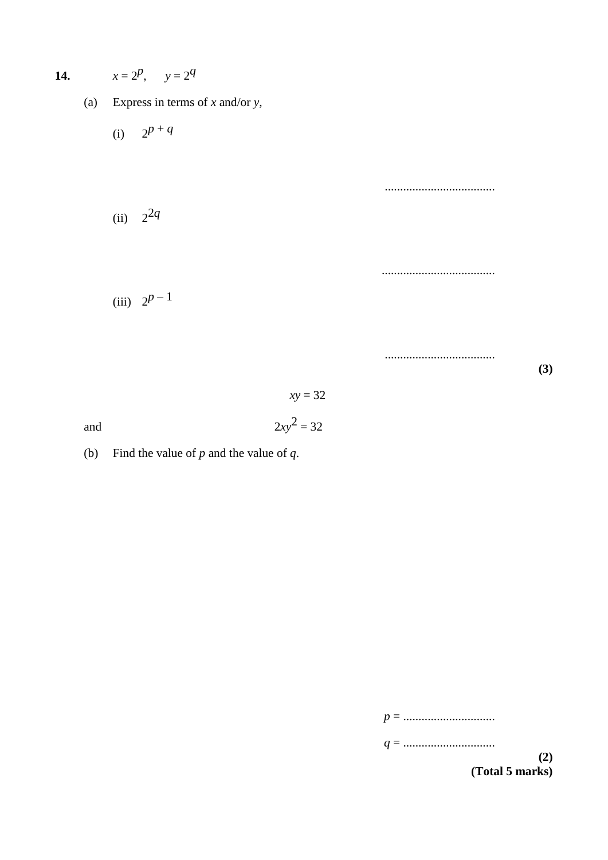14. 
$$
x = 2^p
$$
,  $y = 2^q$   
\n(a) Express in terms of x and/or y,  
\n(i)  $2^{p+q}$   
\n(ii)  $2^{2q}$   
\n(iii)  $2^{p-1}$ 

- and  $2xy^2 = 32$
- (b) Find the value of *p* and the value of *q*.

*p* = ..............................

*q* = ..............................

**(2) (Total 5 marks)**